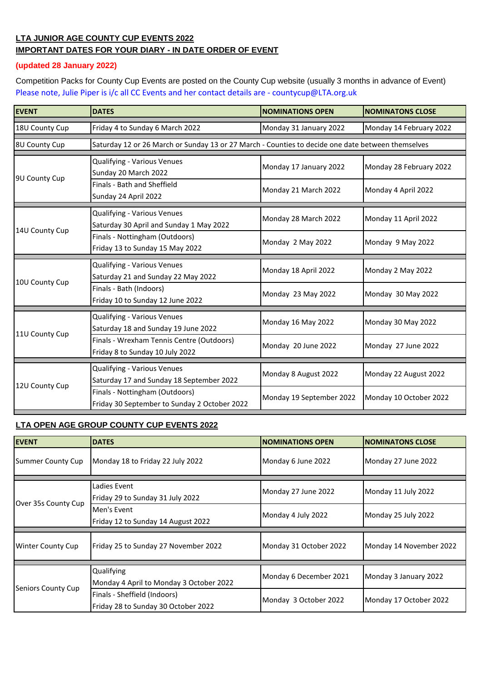## **LTA JUNIOR AGE COUNTY CUP EVENTS 2022 IMPORTANT DATES FOR YOUR DIARY - IN DATE ORDER OF EVENT**

## **(updated 28 January 2022)**

Competition Packs for County Cup Events are posted on the County Cup website (usually 3 months in advance of Event) [Please note, Julie Pip](mailto:countycup@LTA.org.uk)er is i/c all CC Events and her contact details are - countycup@LTA.org.uk

| <b>EVENT</b>   | <b>DATES</b>                                                                                      | <b>NOMINATIONS OPEN</b>  | <b>NOMINATONS CLOSE</b> |  |
|----------------|---------------------------------------------------------------------------------------------------|--------------------------|-------------------------|--|
| 18U County Cup | Friday 4 to Sunday 6 March 2022                                                                   | Monday 31 January 2022   | Monday 14 February 2022 |  |
| 8U County Cup  | Saturday 12 or 26 March or Sunday 13 or 27 March - Counties to decide one date between themselves |                          |                         |  |
| 9U County Cup  | Qualifying - Various Venues<br>Sunday 20 March 2022                                               | Monday 17 January 2022   | Monday 28 February 2022 |  |
|                | Finals - Bath and Sheffield<br>Sunday 24 April 2022                                               | Monday 21 March 2022     | Monday 4 April 2022     |  |
| 14U County Cup | <b>Qualifying - Various Venues</b><br>Saturday 30 April and Sunday 1 May 2022                     | Monday 28 March 2022     | Monday 11 April 2022    |  |
|                | Finals - Nottingham (Outdoors)<br>Friday 13 to Sunday 15 May 2022                                 | Monday 2 May 2022        | Monday 9 May 2022       |  |
| 10U County Cup | Qualifying - Various Venues<br>Saturday 21 and Sunday 22 May 2022                                 | Monday 18 April 2022     | Monday 2 May 2022       |  |
|                | Finals - Bath (Indoors)<br>Friday 10 to Sunday 12 June 2022                                       | Monday 23 May 2022       | Monday 30 May 2022      |  |
| 11U County Cup | Qualifying - Various Venues<br>Saturday 18 and Sunday 19 June 2022                                | Monday 16 May 2022       | Monday 30 May 2022      |  |
|                | Finals - Wrexham Tennis Centre (Outdoors)<br>Friday 8 to Sunday 10 July 2022                      | Monday 20 June 2022      | Monday 27 June 2022     |  |
| 12U County Cup | Qualifying - Various Venues<br>Saturday 17 and Sunday 18 September 2022                           | Monday 8 August 2022     | Monday 22 August 2022   |  |
|                | Finals - Nottingham (Outdoors)<br>Friday 30 September to Sunday 2 October 2022                    | Monday 19 September 2022 | Monday 10 October 2022  |  |

## **LTA OPEN AGE GROUP COUNTY CUP EVENTS 2022**

| <b>EVENT</b>             | <b>DATES</b>                                                        | <b>NOMINATIONS OPEN</b> | <b>NOMINATONS CLOSE</b> |
|--------------------------|---------------------------------------------------------------------|-------------------------|-------------------------|
| Summer County Cup        | Monday 18 to Friday 22 July 2022                                    | Monday 6 June 2022      | Monday 27 June 2022     |
| Over 35s County Cup      | Ladies Event<br>Friday 29 to Sunday 31 July 2022                    | Monday 27 June 2022     | Monday 11 July 2022     |
|                          | Men's Event<br>Friday 12 to Sunday 14 August 2022                   | Monday 4 July 2022      | Monday 25 July 2022     |
| <b>Winter County Cup</b> | Friday 25 to Sunday 27 November 2022                                | Monday 31 October 2022  | Monday 14 November 2022 |
| Seniors County Cup       | Qualifying<br>Monday 4 April to Monday 3 October 2022               | Monday 6 December 2021  | Monday 3 January 2022   |
|                          | Finals - Sheffield (Indoors)<br>Friday 28 to Sunday 30 October 2022 | Monday 3 October 2022   | Monday 17 October 2022  |